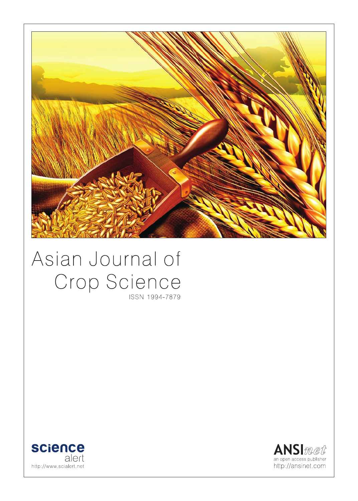

# Asian Journal of Crop Science ISSN 1994-7879



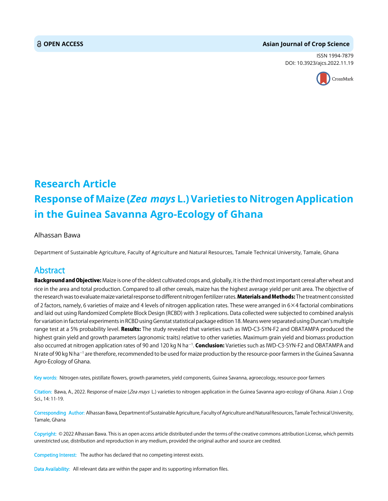#### **OPEN ACCESS Asian Journal of Crop Science**

ISSN 1994-7879 DOI: 10.3923/ajcs.2022.11.19



## **Research Article Response of Maize (***Zea mays* **L.) Varieties to Nitrogen Application in the Guinea Savanna Agro-Ecology of Ghana**

#### Alhassan Bawa

Department of Sustainable Agriculture, Faculty of Agriculture and Natural Resources, Tamale Technical University, Tamale, Ghana

### Abstract

Background and Objective: Maize is one of the oldest cultivated crops and, globally, it is the third most important cereal after wheat and rice in the area and total production. Compared to all other cereals, maize has the highest average yield per unit area. The objective of the research was to evaluate maize varietal response to different nitrogen fertilizer rates. Materials and Methods: The treatment consisted of 2 factors, namely, 6 varieties of maize and 4 levels of nitrogen application rates. These were arranged in 6×4 factorial combinations and laid out using Randomized Complete Block Design (RCBD) with 3 replications. Data collected were subjected to combined analysis for variation in factorial experiments in RCBD using Genstat statistical package edition 18. Means were separated using Duncan's multiple range test at a 5% probability level. Results: The study revealed that varieties such as IWD-C3-SYN-F2 and OBATAMPA produced the highest grain yield and growth parameters (agronomic traits) relative to other varieties. Maximum grain yield and biomass production also occurred at nitrogen application rates of 90 and 120 kg N ha<sup>—1</sup>. **Conclusion:** Varieties such as IWD-C3-SYN-F2 and OBATAMPA and N rate of 90 kg N ha<sup>-1</sup> are therefore, recommended to be used for maize production by the resource-poor farmers in the Guinea Savanna Agro-Ecology of Ghana.

Key words: Nitrogen rates, pistillate flowers, growth parameters, yield components, Guinea Savanna, agroecology, resource-poor farmers

Citation: Bawa, A., 2022. Response of maize (Zea mays L.) varieties to nitrogen application in the Guinea Savanna agro-ecology of Ghana. Asian J. Crop Sci., 14: 11-19.

Corresponding Author: Alhassan Bawa, Department of Sustainable Agriculture, Faculty of Agriculture and Natural Resources, Tamale Technical University, Tamale, Ghana

Copyright: © 2022 Alhassan Bawa. This is an open access article distributed under the terms of the creative commons attribution License, which permits unrestricted use, distribution and reproduction in any medium, provided the original author and source are credited.

Competing Interest: The author has declared that no competing interest exists.

Data Availability: All relevant data are within the paper and its supporting information files.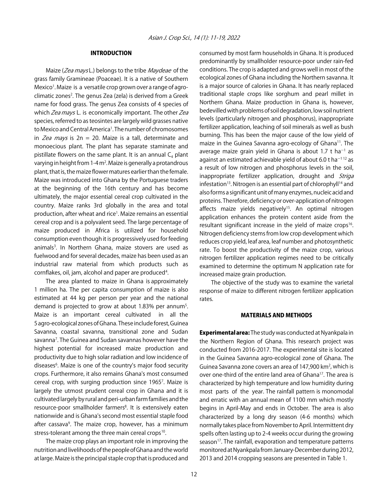#### INTRODUCTION

Maize (*Zea mays* L.) belongs to the tribe *Maydeae* of the grass family Gramineae (Poaceae). It is a native of Southern Mexico<sup>1</sup>. Maize is a versatile crop grown over a range of agroclimatic zones<sup>2</sup>. The genus Zea (zela) is derived from a Greek name for food grass. The genus Zea consists of 4 species of which Zea mays L. is economically important. The other Zea species, referred to as teosintes are largely wild grasses native to Mexico and Central America<sup>1</sup>. The number of chromosomes in Zea mays is  $2n = 20$ . Maize is a tall, determinate and monoecious plant. The plant has separate staminate and pistillate flowers on the same plant. It is an annual  $C_4$  plant varying in height from 1-4 m<sup>2</sup>. Maize is generally a protandrous plant, that is, the maize flower matures earlier than the female. Maize was introduced into Ghana by the Portuguese traders at the beginning of the 16th century and has become ultimately, the major essential cereal crop cultivated in the country. Maize ranks 3rd globally in the area and total production, after wheat and rice<sup>1</sup>. Maize remains an essential cereal crop and is a polyvalent seed. The large percentage of maize produced in Africa is utilized for household consumption even though it is progressively used for feeding animals<sup>3</sup>. In Northern Ghana, maize stovers are used as fuelwood and for several decades, maize has been used as an industrial raw material from which products such as cornflakes, oil, jam, alcohol and paper are produced<sup>4</sup>.

The area planted to maize in Ghana is approximately 1 million ha. The per capita consumption of maize is also estimated at 44 kg per person per year and the national demand is projected to grow at about 1.83% per annum<sup>5</sup>. Maize is an important cereal cultivated in all the 5 agro-ecological zones of Ghana. These include forest, Guinea Savanna, coastal savanna, transitional zone and Sudan savanna<sup>7</sup>. The Guinea and Sudan savannas however have the highest potential for increased maize production and productivity due to high solar radiation and low incidence of diseases<sup>6</sup>. Maize is one of the country's major food security crops. Furthermore, it also remains Ghana's most consumed cereal crop, with surging production since 19657 . Maize is largely the utmost prudent cereal crop in Ghana and it is cultivated largely by rural and peri-urban farm families and the resource-poor smallholder farmers<sup>8</sup>. It is extensively eaten nationwide and is Ghana's second most essential staple food after cassava<sup>9</sup>. The maize crop, however, has a minimum stress-tolerant among the three main cereal crops<sup>10</sup>.

The maize crop plays an important role in improving the nutrition and livelihoods of the people of Ghana and the world at large. Maize is the principal staple crop that is produced and consumed by most farm households in Ghana. It is produced predominantly by smallholder resource-poor under rain-fed conditions. The crop is adapted and grows well in most of the ecological zones of Ghana including the Northern savanna. It is a major source of calories in Ghana. It has nearly replaced traditional staple crops like sorghum and pearl millet in Northern Ghana. Maize production in Ghana is, however, bedevilled with problems of soil degradation, low soil nutrient levels (particularly nitrogen and phosphorus), inappropriate fertilizer application, leaching of soil minerals as well as bush burning. This has been the major cause of the low yield of maize in the Guinea Savanna agro-ecology of Ghana<sup>11</sup>. The average maize grain yield in Ghana is about 1.7 t $\,$ ha $^{-1}$  as against an estimated achievable yield of about 6.0 t ha<sup> $-112$ </sup> as a result of low nitrogen and phosphorus levels in the soil, inappropriate fertilizer application, drought and Striga infestation<sup>13</sup>. Nitrogen is an essential part of chlorophyll<sup>14</sup> and also forms a significant unit of many enzymes, nucleic acid and proteins. Therefore, deficiency or over-application of nitrogen affects maize yields negatively<sup>15</sup>. An optimal nitrogen application enhances the protein content aside from the resultant significant increase in the yield of maize crops<sup>16</sup>. Nitrogen deficiency stems from low crop development which reduces crop yield, leaf area, leaf number and photosynthetic rate. To boost the productivity of the maize crop, various nitrogen fertilizer application regimes need to be critically examined to determine the optimum N application rate for increased maize grain production.

The objective of the study was to examine the varietal response of maize to different nitrogen fertilizer application rates.

#### MATERIALS AND METHODS

**Experimental area:** The study was conducted at Nyankpala in the Northern Region of Ghana. This research project was conducted from 2016-2017. The experimental site is located in the Guinea Savanna agro-ecological zone of Ghana. The Guinea Savanna zone covers an area of 147,900 km<sup>2</sup>, which is over one-third of the entire land area of Ghana<sup>17</sup>. The area is characterized by high temperature and low humidity during most parts of the year. The rainfall pattern is monomodal and erratic with an annual mean of 1100 mm which mostly begins in April-May and ends in October. The area is also characterized by a long dry season (4-6 months) which normally takes place from November to April. Intermittent dry spells often lasting up to 2-4 weeks occur during the growing season<sup>17</sup>. The rainfall, evaporation and temperature patterns monitored at Nyankpala from January-December during 2012, 2013 and 2014 cropping seasons are presented in Table 1.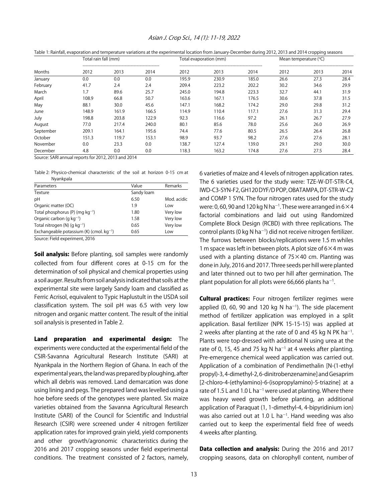| Table 1: Rainfall, evaporation and temperature variations at the experimental location from January-December during 2012, 2013 and 2014 cropping seasons |                      |       |       |                        |       |       |                         |      |      |
|----------------------------------------------------------------------------------------------------------------------------------------------------------|----------------------|-------|-------|------------------------|-------|-------|-------------------------|------|------|
| Months                                                                                                                                                   | Total rain fall (mm) |       |       | Total evaporation (mm) |       |       | Mean temperature $(°C)$ |      |      |
|                                                                                                                                                          | 2012                 | 2013  | 2014  | 2012                   | 2013  | 2014  | 2012                    | 2013 | 2014 |
| January                                                                                                                                                  | 0.0                  | 0.0   | 0.0   | 195.9                  | 230.9 | 185.0 | 26.6                    | 27.3 | 28.4 |
| February                                                                                                                                                 | 41.7                 | 2.4   | 2.4   | 209.4                  | 223.2 | 202.2 | 30.2                    | 34.6 | 29.9 |
| March                                                                                                                                                    | 1.7                  | 89.6  | 25.7  | 245.0                  | 194.8 | 223.3 | 32.7                    | 44.1 | 31.9 |
| April                                                                                                                                                    | 108.9                | 66.8  | 50.7  | 163.6                  | 167.1 | 176.5 | 30.6                    | 37.8 | 31.5 |
| May                                                                                                                                                      | 88.1                 | 30.0  | 45.6  | 147.1                  | 168.2 | 174.2 | 29.0                    | 29.8 | 31.2 |
| June                                                                                                                                                     | 148.9                | 161.9 | 166.5 | 114.9                  | 110.4 | 117.1 | 27.6                    | 31.3 | 29.4 |
| July                                                                                                                                                     | 198.8                | 203.8 | 122.9 | 92.3                   | 116.6 | 97.2  | 26.1                    | 26.7 | 27.9 |
| August                                                                                                                                                   | 77.0                 | 217.4 | 240.0 | 80.1                   | 85.6  | 78.0  | 25.6                    | 26.0 | 26.9 |
| September                                                                                                                                                | 209.1                | 164.1 | 195.6 | 74.4                   | 77.6  | 80.5  | 26.5                    | 26.4 | 26.8 |
| October                                                                                                                                                  | 151.3                | 119.7 | 153.1 | 98.9                   | 93.7  | 98.2  | 27.6                    | 27.6 | 28.1 |
| November                                                                                                                                                 | 0.0                  | 23.3  | 0.0   | 138.7                  | 127.4 | 139.0 | 29.1                    | 29.0 | 30.0 |
| December                                                                                                                                                 | 4.8                  | 0.0   | 0.0   | 118.3                  | 163.2 | 174.8 | 27.6                    | 27.5 | 28.4 |

#### Asian J. Crop Sci., 14 (1): 11-19, 2022

Source: SARI annual reports for 2012, 2013 and 2014

Table 2: Physico-chemical characteristic of the soil at horizon 0-15 cm at Nyankpala

| Parameters                                      | Value      | Remarks     |
|-------------------------------------------------|------------|-------------|
| Texture                                         | Sandy loam |             |
| рH                                              | 6.50       | Mod. acidic |
| Organic matter (OC)                             | 1.9        | Low         |
| Total phosphorus (P) (mg $kg^{-1}$ )            | 1.80       | Very low    |
| Organic carbon (q $kq^{-1}$ )                   | 1.58       | Very low    |
| Total nitrogen (N) $(q kq^{-1})$                | 0.65       | Very low    |
| Exchangeable potassium $(K)$ (cmol. $kq^{-1}$ ) | 0.65       | Low         |

Source: Field experiment, 2016

**Soil analysis:** Before planting, soil samples were randomly collected from four different cores at 0-15 cm for the determination of soil physical and chemical properties using a soil auger. Results from soil analysis indicated that soils at the experimental site were largely Sandy loam and classified as Ferric Acrisol, equivalent to Typic Haplustult in the USDA soil classification system. The soil pH was 6.5 with very low nitrogen and organic matter content. The result of the initial soil analysis is presented in Table 2.

Land preparation and experimental design: The experiments were conducted at the experimental field of the CSIR-Savanna Agricultural Research Institute (SARI) at Nyankpala in the Northern Region of Ghana. In each of the experimental years, the land was prepared by ploughing, after which all debris was removed. Land demarcation was done using lining and pegs. The prepared land was levelled using a hoe before seeds of the genotypes were planted. Six maize varieties obtained from the Savanna Agricultural Research Institute (SARI) of the Council for Scientific and Industrial Research (CSIR) were screened under 4 nitrogen fertilizer application rates for improved grain yield, yield components and other growth/agronomic characteristics during the 2016 and 2017 cropping seasons under field experimental conditions. The treatment consisted of 2 factors, namely,

6 varieties of maize and 4 levels of nitrogen application rates. The 6 varieties used for the study were: TZE-W-DT-STR-C4, IWD-C3-SYN-F2, GH120 DYF/D POP, OBATAMPA, DT-STR-W-C2 and COMP 1 SYN. The four nitrogen rates used for the study were: 0, 60, 90 and 120 kg N ha $^{-1}$ . These were arranged in 6  $\times$  4 factorial combinations and laid out using Randomized Complete Block Design (RCBD) with three replications. The control plants (0 kg N ha<sup>-1</sup>) did not receive nitrogen fertilizer. The furrows between blocks/replications were 1.5 m whiles 1 m space was left in between plots. A plot size of  $6\times4$  m was used with a planting distance of 75×40 cm. Planting was done in July, 2016 and 2017. Three seeds per hill were planted and later thinned out to two per hill after germination. The plant population for all plots were 66,666 plants ha<sup>-1</sup>.

**Cultural practices:** Four nitrogen fertilizer regimes were applied  $(0, 60, 90$  and 120 kg N ha<sup>-1</sup>). The side placement method of fertilizer application was employed in a split application. Basal fertilizer (NPK 15-15-15) was applied at 2 weeks after planting at the rate of 0 and 45 kg N PK ha<sup>-1</sup>. Plants were top-dressed with additional N using urea at the rate of 0, 15, 45 and 75 kg N ha<sup>-1</sup> at 4 weeks after planting. Pre-emergence chemical weed application was carried out. Application of a combination of Pendimethalin [N-(1-ethyl propyl)-3, 4-dimethyl-2, 6-dinitrobenzenamine] and Gesaprim [2-chloro-4-(ethylamino)-6-(isopropylamino)-5-triazine] at a rate of 1.5 L and 1.0 L ha<sup>-1</sup> were used at planting. Where there was heavy weed growth before planting, an additional application of Paraquat (1, 1-dimethyl-4, 4-bipyridinium ion) was also carried out at 1.0 L ha<sup>-1</sup>. Hand weeding was also carried out to keep the experimental field free of weeds 4 weeks after planting.

Data collection and analysis: During the 2016 and 2017 cropping seasons, data on chlorophyll content, number of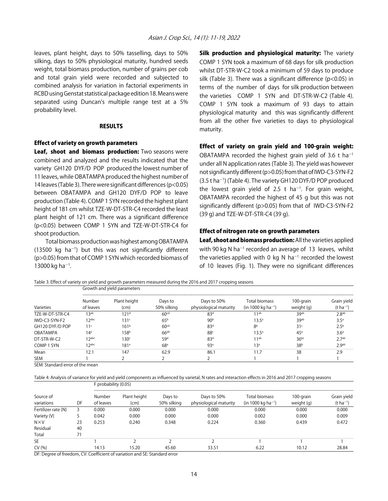leaves, plant height, days to 50% tasselling, days to 50% silking, days to 50% physiological maturity, hundred seeds weight, total biomass production, number of grains per cob and total grain yield were recorded and subjected to combined analysis for variation in factorial experiments in RCBD using Genstat statistical package edition 18. Means were separated using Duncan's multiple range test at a 5% probability level.

#### RESULTS

#### Effect of variety on growth parameters

Leaf, shoot and biomass production: Two seasons were combined and analyzed and the results indicated that the variety GH120 DYF/D POP produced the lowest number of 11 leaves, while OBATAMPA produced the highest number of 14 leaves (Table 3). There were significant differences (p<0.05) between OBATAMPA and GH120 DYF/D POP to leave production (Table 4). COMP 1 SYN recorded the highest plant height of 181 cm whilst TZE-W-DT-STR-C4 recorded the least plant height of 121 cm. There was a significant difference (p<0.05) between COMP 1 SYN and TZE-W-DT-STR-C4 for shoot production.

Total biomass production was highest among OBATAMPA  $(13500 \text{ kg } ha^{-1})$  but this was not significantly different (p>0.05) from that of COMP 1 SYN which recorded biomass of 13000 kg ha<sup>-1</sup>.

Silk production and physiological maturity: The variety COMP 1 SYN took a maximum of 68 days for silk production whilst DT-STR-W-C2 took a minimum of 59 days to produce silk (Table 3). There was a significant difference (p<0.05) in terms of the number of days for silk production between the varieties COMP 1 SYN and DT-STR-W-C2 (Table 4). COMP 1 SYN took a maximum of 93 days to attain physiological maturity and this was significantly different from all the other five varieties to days to physiological maturity.

#### Effect of variety on grain yield and 100-grain weight:

OBATAMPA recorded the highest grain yield of 3.6 t ha<sup>-1</sup> under all N application rates (Table 3). The yield was however not significantly different (p>0.05) from that of IWD-C3-SYN-F2  $(3.5$  t ha<sup>-1</sup>) (Table 4). The variety GH120 DYF/D POP produced the lowest grain yield of 2.5 t ha<sup>-1</sup>. For grain weight, OBATAMPA recorded the highest of 45 g but this was not significantly different (p>0.05) from that of IWD-C3-SYN-F2 (39 g) and TZE-W-DT-STR-C4 (39 g).

#### Effect of nitrogen rate on growth parameters

Leaf, shoot and biomass production: All the varieties applied with 90 kg N ha<sup>-1</sup> recorded an average of 13 leaves, whilst the varieties applied with 0 kg N ha<sup>-1</sup> recorded the lowest of 10 leaves (Fig. 1). They were no significant differences

Table 3: Effect of variety on yield and growth parameters measured during the 2016 and 2017 cropping seasons Growth and yield parameters

|                 | Sibwarding yield parameters |                      |                        |                                       |                                                 |                         |                                 |  |  |
|-----------------|-----------------------------|----------------------|------------------------|---------------------------------------|-------------------------------------------------|-------------------------|---------------------------------|--|--|
| Varieties       | Number<br>of leaves         | Plant height<br>(cm) | Days to<br>50% silking | Days to 50%<br>physiological maturity | Total biomass<br>(in 1000 kg ha <sup>-1</sup> ) | 100-grain<br>weight (g) | Grain yield<br>$(t \, ha^{-1})$ |  |  |
| TZE-W-DT-STR-C4 | 13 <sub>ab</sub>            | 121 <sup>d</sup>     | 60 <sup>cd</sup>       | 83 <sup>d</sup>                       | 11 <sup>ab</sup>                                | 39 <sub>ab</sub>        | 2.8 <sup>ab</sup>               |  |  |
| IWD-C3-SYN-F2   | $12$ abc                    | 131 <sup>c</sup>     | 65 <sup>b</sup>        | 90 <sup>b</sup>                       | 13.5 <sup>a</sup>                               | 39ab                    | 3.5 <sup>a</sup>                |  |  |
| GH120 DYF/D POP | 11 <sup>c</sup>             | 161 <sup>b</sup>     | 60 <sup>cd</sup>       | 83 <sup>d</sup>                       | 8 <sup>b</sup>                                  | 31 <sup>c</sup>         | 2.5 <sup>b</sup>                |  |  |
| OBATAMPA        | 14 <sup>a</sup>             | 158 <sup>b</sup>     | 66 <sup>ab</sup>       | 88 <sup>c</sup>                       | $13.5^a$                                        | 45 <sup>a</sup>         | 3.6 <sup>a</sup>                |  |  |
| DT-STR-W-C2     | 1 Jabc                      | 130 <sup>c</sup>     | 59 <sup>d</sup>        | 83 <sup>d</sup>                       | 11 <sup>ab</sup>                                | $36^{bc}$               | 2.7 <sup>ab</sup>               |  |  |
| COMP 1 SYN      | $12^{abc}$                  | 181 <sup>a</sup>     | 68 <sup>a</sup>        | 93 <sup>a</sup>                       | 13 <sup>a</sup>                                 | 38 <sup>b</sup>         | 2.9 <sub>ab</sub>               |  |  |
| Mean            | 12.1                        | 147                  | 62.9                   | 86.1                                  | 11.7                                            | 38                      | 2.9                             |  |  |
| SEM             |                             |                      |                        |                                       |                                                 |                         |                                 |  |  |

SEM: Standard error of the mean

Table 4: Analysis of variance for yield and yield components as influenced by varietal, N rates and interaction effects in 2016 and 2017 cropping seasons

|                         |    | $\sim$ probability (0.00) |                      |                        |                                       |                                                        |                         |                                 |  |
|-------------------------|----|---------------------------|----------------------|------------------------|---------------------------------------|--------------------------------------------------------|-------------------------|---------------------------------|--|
| Source of<br>variations | DF | Number<br>of leaves       | Plant height<br>(cm) | Days to<br>50% silking | Days to 50%<br>physiological maturity | <b>Total biomass</b><br>(in 1000 kg ha <sup>-1</sup> ) | 100-grain<br>weight (g) | Grain yield<br>$(t \, ha^{-1})$ |  |
| Fertilizer rate (N)     |    | 0.000                     | 0.000                | 0.000                  | 0.000                                 | 0.000                                                  | 0.000                   | 0.000                           |  |
| Variety (V)             |    | 0.042                     | 0.000                | 0.000                  | 0.000                                 | 0.002                                                  | 0.000                   | 0.009                           |  |
| $N \times V$            | 23 | 0.253                     | 0.240                | 0.348                  | 0.224                                 | 0.360                                                  | 0.439                   | 0.472                           |  |
| Residual                | 40 |                           |                      |                        |                                       |                                                        |                         |                                 |  |
| Total                   | 71 |                           |                      |                        |                                       |                                                        |                         |                                 |  |
| SE                      |    |                           |                      |                        |                                       |                                                        |                         |                                 |  |
| CV(% )                  |    | 14.13                     | 15.20                | 45.60                  | 33.51                                 | 6.22                                                   | 10.12                   | 28.84                           |  |
|                         |    |                           |                      |                        |                                       |                                                        |                         |                                 |  |

DF: Degree of freedom, CV: Coefficient of variation and SE: Standard error

F probability (0.05)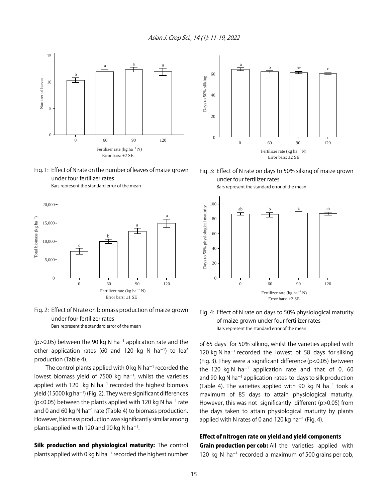Asian J. Crop Sci., 14 (1): 11-19, 2022









( $p > 0.05$ ) between the 90 kg N ha<sup>-1</sup> application rate and the other application rates (60 and 120 kg N ha<sup>-1</sup>) to leaf production (Table 4).

The control plants applied with 0 kg N ha<sup>-1</sup> recorded the lowest biomass yield of 7500 kg ha $^{-1}$ , whilst the varieties applied with 120  $kg$  N ha<sup>-1</sup> recorded the highest biomass yield (15000 kg ha $^{-1}$ ) (Fig. 2). They were significant differences ( $p$ <0.05) between the plants applied with 120 kg N ha<sup>-1</sup> rate and 0 and 60 kg N ha<sup>-1</sup> rate (Table 4) to biomass production. However, biomass production was significantly similar among plants applied with 120 and 90 kg N ha<sup>-1</sup>.

Silk production and physiological maturity: The control plants applied with 0 kg N ha<sup>-1</sup> recorded the highest number



Fig. 3: Effect of N rate on days to 50% silking of maize grown under four fertilizer rates







of 65 days for 50% silking, whilst the varieties applied with 120 kg N ha $^{-1}$  recorded the lowest of 58 days for silking (Fig. 3). They were a significant difference (p<0.05) between the 120 kg N ha<sup>-1</sup> application rate and that of 0, 60 and 90  $kg$  N ha<sup>-1</sup> application rates to days to silk production (Table 4). The varieties applied with 90 kg N ha<sup>-1</sup> took a maximum of 85 days to attain physiological maturity. However, this was not significantly different (p>0.05) from the days taken to attain physiological maturity by plants applied with N rates of 0 and 120 kg ha<sup>-1</sup> (Fig. 4).

#### Effect of nitrogen rate on yield and yield components

Grain production per cob: All the varieties applied with 120 kg N ha<sup>-1</sup> recorded a maximum of 500 grains per cob,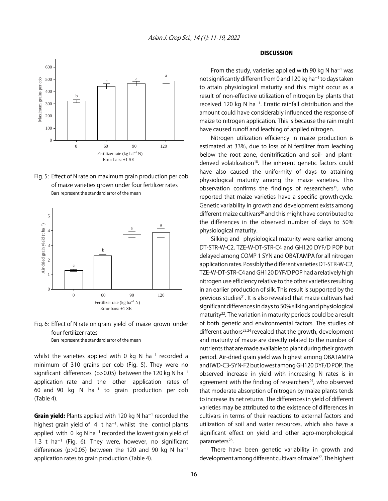

Fig. 5: Effect of N rate on maximum grain production per cob of maize varieties grown under four fertilizer rates Bars represent the standard error of the mean



Fig. 6: Effect of N rate on grain yield of maize grown under four fertilizer rates

Bars represent the standard error of the mean

whilst the varieties applied with 0 kg N ha<sup>-1</sup> recorded a minimum of 310 grains per cob (Fig. 5). They were no significant differences (p>0.05) between the 120 kg N ha<sup>-1</sup> application rate and the other application rates of 60 and 90  $kg \text{ N}$  ha<sup>-1</sup> to grain production per cob (Table 4).

Grain yield: Plants applied with 120 kg N ha<sup>-1</sup> recorded the highest grain yield of  $4$  t ha<sup>-1</sup>, whilst the control plants applied with 0 kg N ha<sup>-1</sup> recorded the lowest grain yield of 1.3 t  $ha^{-1}$  (Fig. 6). They were, however, no significant differences (p>0.05) between the 120 and 90 kg N ha<sup>-1</sup> application rates to grain production (Table 4).

### DISCUSSION

From the study, varieties applied with 90 kg N ha<sup>-1</sup> was not significantly different from 0 and 120 kg ha<sup>-1</sup> to days taken to attain physiological maturity and this might occur as a result of non-effective utilization of nitrogen by plants that received 120 kg N ha<sup>-1</sup>. Erratic rainfall distribution and the amount could have considerably influenced the response of maize to nitrogen application. This is because the rain might have caused runoff and leaching of applied nitrogen.

Nitrogen utilization efficiency in maize production is estimated at 33%, due to loss of N fertilizer from leaching below the root zone, denitrification and soil- and plantderived volatilization<sup>18</sup>. The inherent genetic factors could have also caused the uniformity of days to attaining physiological maturity among the maize varieties. This observation confirms the findings of researchers<sup>19</sup>, who reported that maize varieties have a specific growth cycle. Genetic variability in growth and development exists among different maize cultivars<sup>20</sup> and this might have contributed to the differences in the observed number of days to 50% physiological maturity.

Silking and physiological maturity were earlier among DT-STR-W-C2, TZE-W-DT-STR-C4 and GH120 DYF/D POP but delayed among COMP 1 SYN and OBATAMPA for all nitrogen application rates. Possibly the different varieties DT-STR-W-C2, TZE-W-DT-STR-C4 and GH120 DYF/D POP had a relatively high nitrogen use efficiency relative to the other varieties resulting in an earlier production of silk. This result is supported by the previous studies<sup>21</sup>. It is also revealed that maize cultivars had significant differences in days to 50% silking and physiological maturity<sup>22</sup>. The variation in maturity periods could be a result of both genetic and environmental factors. The studies of different authors<sup>23,24</sup> revealed that the growth, development and maturity of maize are directly related to the number of nutrients that are made available to plant during their growth period. Air-dried grain yield was highest among OBATAMPA and IWD-C3-SYN-F2 but lowest among GH120 DYF/D POP. The observed increase in yield with increasing N rates is in agreement with the finding of researchers<sup>25</sup>, who observed that moderate absorption of nitrogen by maize plants tends to increase its net returns. The differences in yield of different varieties may be attributed to the existence of differences in cultivars in terms of their reactions to external factors and utilization of soil and water resources, which also have a significant effect on yield and other agro-morphological parameters<sup>26</sup>.

There have been genetic variability in growth and development among different cultivars of maize<sup>27</sup>. The highest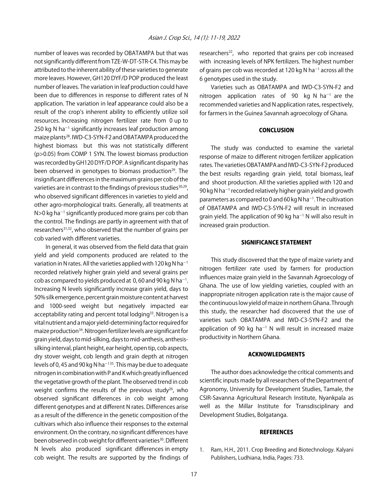number of leaves was recorded by OBATAMPA but that was not significantly different from TZE-W-DT-STR-C4. This may be attributed to the inherent ability of these varieties to generate more leaves. However, GH120 DYF/D POP produced the least number of leaves. The variation in leaf production could have been due to differences in response to different rates of N application. The variation in leaf appearance could also be a result of the crop's inherent ability to efficiently utilize soil resources. Increasing nitrogen fertilizer rate from 0 up to  $250$  kg N ha<sup> $-1$ </sup> significantly increases leaf production among maize plants<sup>28</sup>. IWD-C3-SYN-F2 and OBATAMPA produced the highest biomass but this was not statistically different (p>0.05) from COMP 1 SYN. The lowest biomass production was recorded by GH120 DYF/D POP. A significant disparity has been observed in genotypes to biomass production<sup>29</sup>. The insignificant differences in the maximum grains per cob of the varieties are in contrast to the findings of previous studies<sup>30,29</sup>, who observed significant differences in varieties to yield and other agro-morphological traits. Generally, all treatments at  $N>0$  kg ha<sup>-1</sup> significantly produced more grains per cob than the control. The findings are partly in agreement with that of researchers<sup>31,32</sup>, who observed that the number of grains per cob varied with different varieties.

In general, it was observed from the field data that grain yield and yield components produced are related to the variation in N rates. All the varieties applied with 120 kg N ha<sup>-1</sup> recorded relatively higher grain yield and several grains per cob as compared to yields produced at 0, 60 and 90 kg N ha<sup>-1</sup>. Increasing N levels significantly increase grain yield, days to 50% silk emergence, percent grain moisture content at harvest and 1000-seed weight but negatively impacted ear acceptability rating and percent total lodging<sup>33</sup>. Nitrogen is a vital nutrient and a major yield-determining factor required for maize production34. Nitrogen fertilizer levels are significant for grain yield, days to mid-silking, days to mid-anthesis, anthesissilking interval, plant height, ear height, open tip, cob aspects, dry stover weight, cob length and grain depth at nitrogen levels of 0, 45 and 90 kg N ha<sup> $-135$ </sup>. This may be due to adequate nitrogen in combination with P and K which greatly influenced the vegetative growth of the plant. The observed trend in cob weight confirms the results of the previous study<sup>26</sup>, who observed significant differences in cob weight among different genotypes and at different N rates. Differences arise as a result of the difference in the genetic composition of the cultivars which also influence their responses to the external environment. On the contrary, no significant differences have been observed in cob weight for different varieties<sup>30</sup>. Different N levels also produced significant differences in empty cob weight. The results are supported by the findings of researchers<sup>22</sup>, who reported that grains per cob increased with increasing levels of NPK fertilizers. The highest number of grains per cob was recorded at 120 kg N ha<sup>-1</sup> across all the 6 genotypes used in the study.

Varieties such as OBATAMPA and IWD-C3-SYN-F2 and nitrogen application rates of 90 kg N ha<sup>-1</sup> are the recommended varieties and N application rates, respectively, for farmers in the Guinea Savannah agroecology of Ghana.

#### **CONCLUSION**

The study was conducted to examine the varietal response of maize to different nitrogen fertilizer application rates. The varieties OBATAMPA and IWD-C3-SYN-F2 produced the best results regarding grain yield, total biomass, leaf and shoot production. All the varieties applied with 120 and 90 kg N ha $^{-1}$  recorded relatively higher grain yield and growth parameters as compared to 0 and 60 kg N ha<sup>-1</sup>. The cultivation of OBATAMPA and IWD-C3-SYN-F2 will result in increased grain yield. The application of 90 kg ha<sup>-1</sup> N will also result in increased grain production.

#### SIGNIFICANCE STATEMENT

This study discovered that the type of maize variety and nitrogen fertilizer rate used by farmers for production influences maize grain yield in the Savannah Agroecology of Ghana. The use of low yielding varieties, coupled with an inappropriate nitrogen application rate is the major cause of the continuous low yield of maize in northern Ghana. Through this study, the researcher had discovered that the use of varieties such OBATAMPA and IWD-C3-SYN-F2 and the application of 90 kg ha<sup>-1</sup> N will result in increased maize productivity in Northern Ghana.

#### ACKNOWLEDGMENTS

The author does acknowledge the critical comments and scientific inputs made by all researchers of the Department of Agronomy, University for Development Studies, Tamale, the CSIR-Savanna Agricultural Research Institute, Nyankpala as well as the Millar Institute for Transdisciplinary and Development Studies, Bolgatanga.

#### **REFERENCES**

1. Ram, H.H., 2011. Crop Breeding and Biotechnology. Kalyani Publishers, Ludhiana, India, Pages: 733.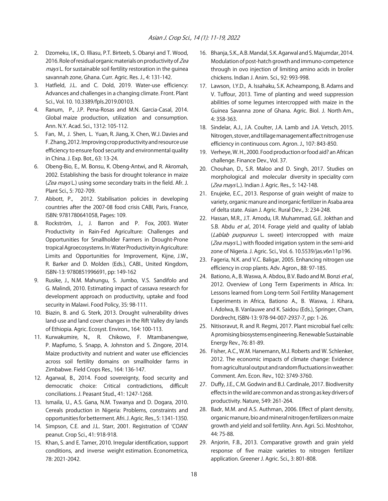- 2. Dzomeku, I.K., O. Illiasu, P.T. Birteeb, S. Obanyi and T. Wood, 2016. Role of residual organic materials on productivity of Zea mays L. for sustainable soil fertility restoration in the guinea savannah zone, Ghana. Curr. Agric. Res. J., 4: 131-142.
- 3. Hatfield, J.L. and C. Dold, 2019. Water-use efficiency: Advances and challenges in a changing climate. Front. Plant Sci., Vol. 10. 10.3389/fpls.2019.00103.
- 4. Ranum, P., J.P. Pena-Rosas and M.N. Garcia-Casal, 2014. Global maize production, utilization and consumption. Ann. N.Y. Acad. Sci., 1312: 105-112.
- 5. Fan, M., J. Shen, L. Yuan, R. Jiang, X. Chen, W.J. Davies and F. Zhang, 2012. Improving crop productivity and resource use efficiency to ensure food security and environmental quality in China. J. Exp. Bot., 63: 13-24.
- 6. Obeng-Bio, E., M. Bonsu, K. Obeng-Antwi, and R. Akromah, 2002. Establishing the basis for drought tolerance in maize (Zea mays L.) using some secondary traits in the field. Afr. J. Plant Sci., 5: 702-709.
- 7. Abbott, P., 2012. Stabilisation policies in developing countries after the 2007-08 food crisis CABI, Paris, France, ISBN: 9781780641058, Pages: 109.
- 8. Rockström, J., J. Barron and P. Fox, 2003. Water Productivity in Rain-Fed Agriculture: Challenges and Opportunities for Smallholder Farmers in Drought-Prone tropical Agroecosystems. In: Water Productivity in Agriculture: Limits and Opportunities for Improvement, Kijne, J.W., R. Barker and D. Molden (Eds.), CABI., United Kingdom, ISBN-13: 9780851996691, pp: 149-162
- 9. Rusike, J., N.M. Mahungu, S. Jumbo, V.S. Sandifolo and G. Malindi, 2010. Estimating impact of cassava research for development approach on productivity, uptake and food security in Malawi. Food Policy, 35: 98-111.
- 10. Biazin, B. and G. Sterk, 2013. Drought vulnerability drives land-use and land cover changes in the Rift Valley dry lands of Ethiopia. Agric. Ecosyst. Environ., 164: 100-113.
- 11. Kurwakumire, N., R. Chikowo, F. Mtambanengwe, P. Mapfumo, S. Snapp, A. Johnston and S. Zingore, 2014. Maize productivity and nutrient and water use efficiencies across soil fertility domains on smallholder farms in Zimbabwe. Field Crops Res., 164: 136-147.
- 12. Agarwal, B., 2014. Food sovereignty, food security and democratic choice: Critical contradictions, difficult conciliations. J. Peasant Stud., 41: 1247-1268.
- 13. Ismaila, U., A.S. Gana, N.M. Tswanya and D. Dogara, 2010. Cereals production in Nigeria: Problems, constraints and opportunities for betterment. Afri. J. Agric. Res., 5: 1341-1350.
- 14. Simpson, C.E. and J.L. Starr, 2001. Registration of ʻCOAN' peanut. Crop Sci., 41: 918-918.
- 15. Khan, S. and E. Tamer, 2010. Irregular identification, support conditions, and inverse weight estimation. Econometrica, 78: 2021-2042.
- 16. Bhanja, S.K., A.B. Mandal, S.K. Agarwal and S. Majumdar, 2014. Modulation of post-hatch growth and immuno-competence through in ovo injection of limiting amino acids in broiler chickens. Indian J. Anim. Sci., 92: 993-998.
- 17. Lawson, I.Y.D., A. Issahaku, S.K. Acheampong, B. Adams and V. Tuffour, 2013. Time of planting and weed suppression abilities of some legumes intercropped with maize in the Guinea Savanna zone of Ghana. Agric. Biol. J. North Am., 4: 358-363.
- 18. Sindelar, A.J., J.A. Coulter, J.A. Lamb and J.A. Vetsch, 2015. Nitrogen, stover, and tillage management affect nitrogen use efficiency in continuous corn. Agron. J., 107: 843-850.
- 19. Verheye, W. H., 2000. Food production or food aid? an African challenge. Finance Dev., Vol. 37.
- 20. Chouhan, D., S.R. Maloo and D. Singh, 2017. Studies on morphological and molecular diversity in speciality corn (Zea mays L.). Indian J. Agric. Res., 5: 142-148.
- 21. Enujeke, E.C., 2013. Response of grain weight of maize to variety, organic manure and inorganic fertilizer in Asaba area of delta state. Asian J. Agric. Rural Dev., 3: 234-248.
- 22. Hassan, M.R., J.T. Amodu, I.R. Muhammad, G.E. Jokthan and S.B. Abdu et al., 2014. Forage yield and quality of lablab (Lablab purpureus L. sweet) intercropped with maize (Zea mays L.) with flooded irrigation system in the semi-arid zone of Nigeria. J. Agric. Sci., Vol. 6. 10.5539/jas.v6n11p196.
- 23. Fageria, N.K. and V.C. Baligar, 2005. Enhancing nitrogen use efficiency in crop plants. Adv. Agron., 88: 97-185.
- 24. Bationo, A., B. Waswa, A. Abdou, B.V. Bado and M. Bonzi et al., 2012. Overview of Long Term Experiments in Africa. In: Lessons learned from Long-term Soil Fertility Management Experiments in Africa, Bationo A., B. Waswa, J. Kihara, I. Adolwa, B. Vanlauwe and K. Saidou (Eds.), Springer, Cham, Dordrecht, ISBN-13: 978-94-007-2937-7, pp: 1-26.
- 25. Nitisoravut, R. and R. Regmi, 2017. Plant microbial fuel cells: A promising biosystems engineering. Renewable Sustainable Energy Rev., 76: 81-89.
- 26. Fisher, A.C., W.M. Hanemann, M.J. Roberts and W. Schlenker, 2012. The economic impacts of climate change: Evidence from agricultural output and random fluctuations in weather: Comment. Am. Econ. Rev., 102: 3749-3760.
- 27. Duffy, J.E., C.M. Godwin and B.J. Cardinale, 2017. Biodiversity effects in the wild are common and as strong as key drivers of productivity. Nature, 549: 261-264.
- 28. Badr, M.M. and A.S. Authman, 2006. Effect of plant density, organic manure, bio and mineral nitrogen fertilizers on maize growth and yield and soil fertility. Ann. Agri. Sci. Moshtohor, 44: 75-88.
- 29. Anjorin, F.B., 2013. Comparative growth and grain yield response of five maize varieties to nitrogen fertilizer application. Greener J. Agric. Sci., 3: 801-808.